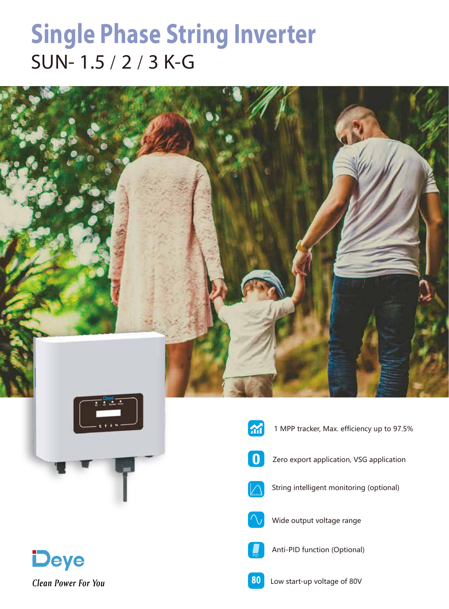## **Single Phase String Inverter** SUN-1.5 / 2 / 3 K-G









1 MPP tracker, Max. efficiency up to 97.5%

- $\overline{\mathbf{0}}$ Zero export application, VSG application
- 

String intelligent monitoring (optional)



Wide output voltage range



Anti-PID function (Optional)

Clean Power For You **BO** Low start-up voltage of 80V